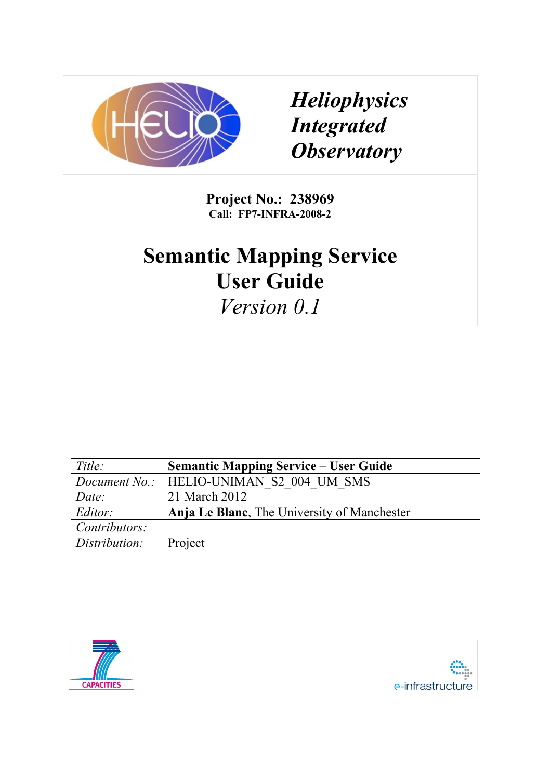

*Heliophysics Integrated Observatory*

**Project No.: 238969 Call: FP7-INFRA-2008-2**

## **Semantic Mapping Service User Guide**

*Version 0.1*

| Title:        | <b>Semantic Mapping Service – User Guide</b>      |
|---------------|---------------------------------------------------|
|               | <i>Document No.:</i>   HELIO-UNIMAN S2 004 UM SMS |
| Date:         | 21 March 2012                                     |
| Editor:       | Anja Le Blanc, The University of Manchester       |
| Contributors: |                                                   |
| Distribution: | Project                                           |

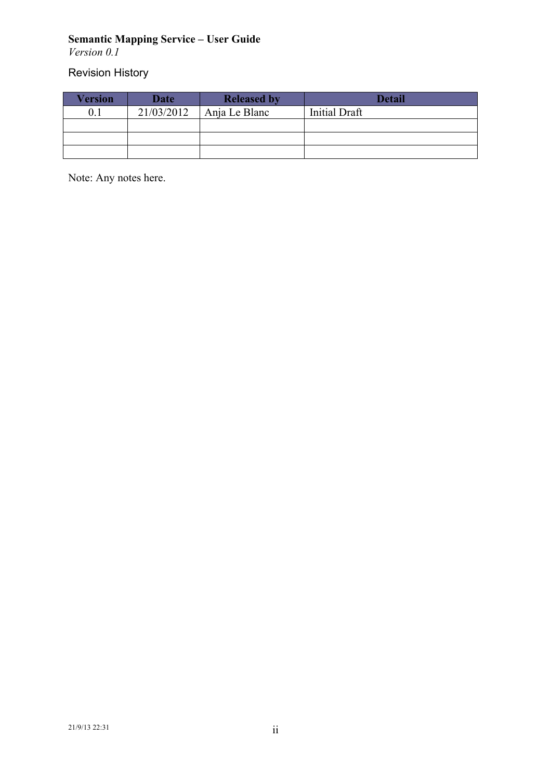*Version 0.1*

## Revision History

| Version | <b>Date</b> | <b>Released by</b> | <b>Detail</b> |
|---------|-------------|--------------------|---------------|
|         | 21/03/2012  | Anja Le Blanc      | Initial Draft |
|         |             |                    |               |
|         |             |                    |               |
|         |             |                    |               |

Note: Any notes here.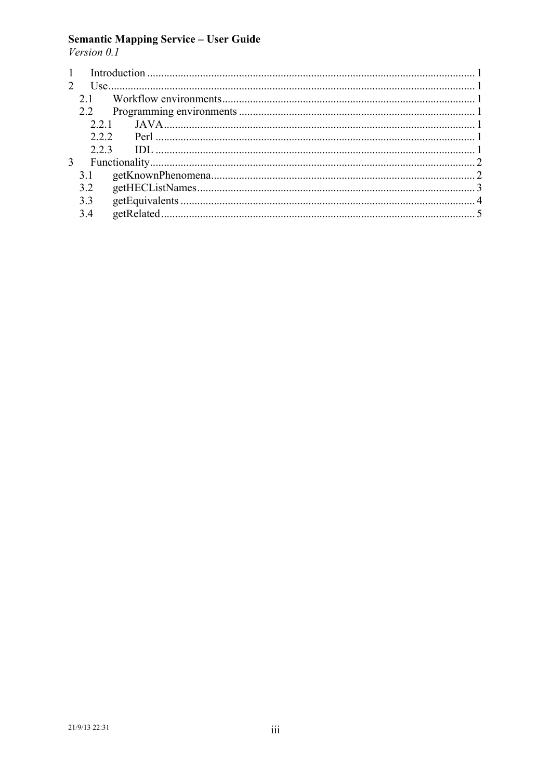# **Semantic Mapping Service – User Guide**<br>Version 0.1

|   | 2 <sub>1</sub> |  |
|---|----------------|--|
|   | 2.2            |  |
|   | 221            |  |
|   | 222            |  |
|   | 2.2.3          |  |
| 3 |                |  |
|   | 31             |  |
|   | 3.2            |  |
|   | 3.3            |  |
|   | 34             |  |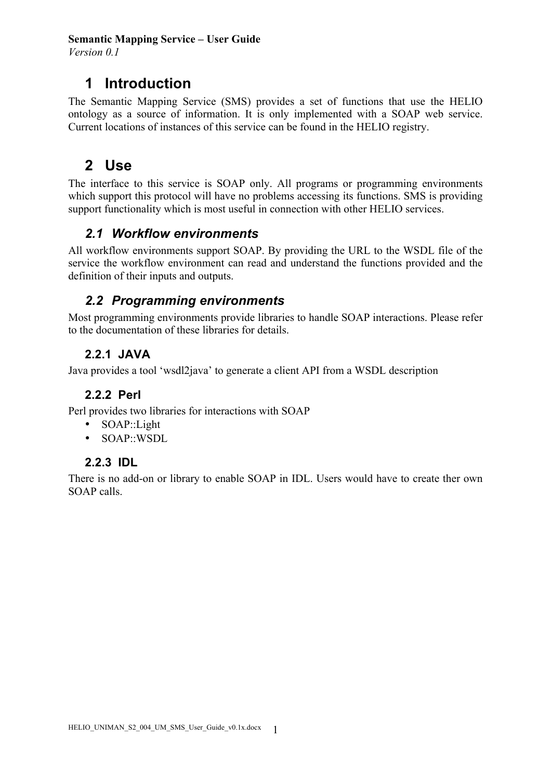*Version 0.1*

## **1 Introduction**

The Semantic Mapping Service (SMS) provides a set of functions that use the HELIO ontology as a source of information. It is only implemented with a SOAP web service. Current locations of instances of this service can be found in the HELIO registry.

## **2 Use**

The interface to this service is SOAP only. All programs or programming environments which support this protocol will have no problems accessing its functions. SMS is providing support functionality which is most useful in connection with other HELIO services.

## *2.1 Workflow environments*

All workflow environments support SOAP. By providing the URL to the WSDL file of the service the workflow environment can read and understand the functions provided and the definition of their inputs and outputs.

## *2.2 Programming environments*

Most programming environments provide libraries to handle SOAP interactions. Please refer to the documentation of these libraries for details.

## **2.2.1 JAVA**

Java provides a tool 'wsdl2java' to generate a client API from a WSDL description

#### **2.2.2 Perl**

Perl provides two libraries for interactions with SOAP

- SOAP::Light
- SOAP<sup>··</sup>WSDL

#### **2.2.3 IDL**

There is no add-on or library to enable SOAP in IDL. Users would have to create ther own SOAP calls.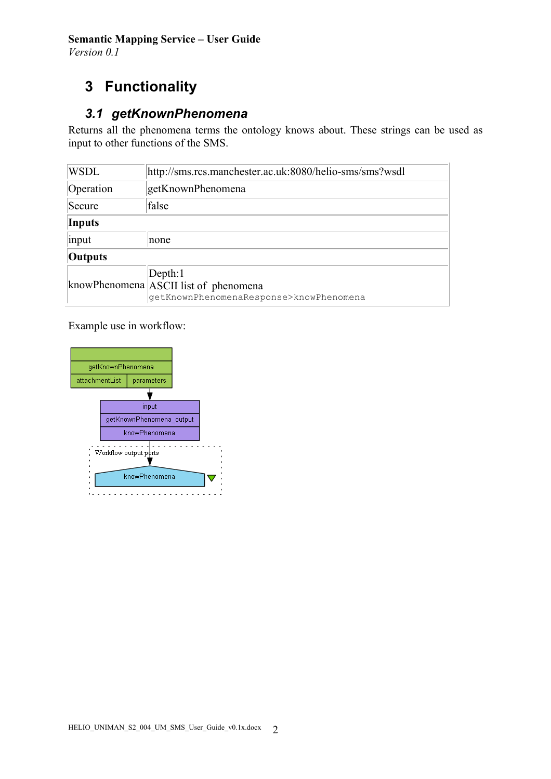#### **Semantic Mapping Service – User Guide** *Version 0.1*

## **3 Functionality**

## *3.1 getKnownPhenomena*

Returns all the phenomena terms the ontology knows about. These strings can be used as input to other functions of the SMS.

| WSDL      | http://sms.rcs.manchester.ac.uk:8080/helio-sms/sms?wsdl                                     |
|-----------|---------------------------------------------------------------------------------------------|
| Operation | getKnownPhenomena                                                                           |
| Secure    | false                                                                                       |
| Inputs    |                                                                                             |
| input     | none                                                                                        |
| Outputs   |                                                                                             |
|           | Depth:1<br>knowPhenomena ASCII list of phenomena<br>getKnownPhenomenaResponse>knowPhenomena |

Example use in workflow:

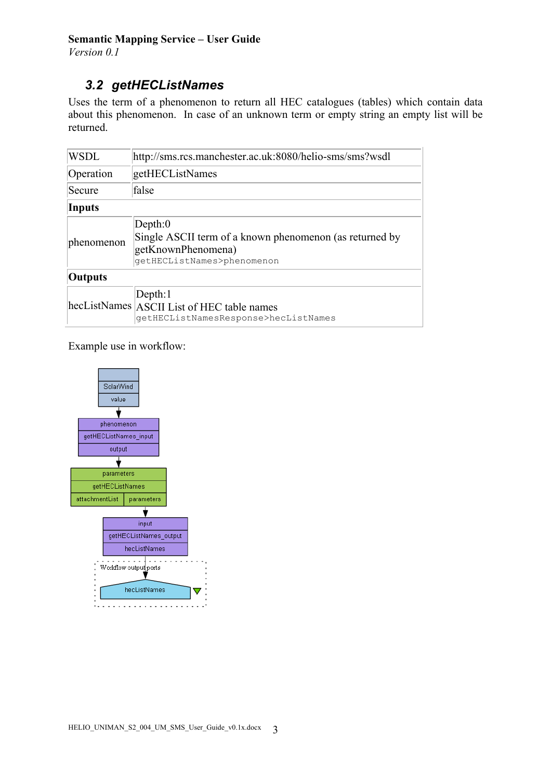*Version 0.1*

## *3.2 getHECListNames*

Uses the term of a phenomenon to return all HEC catalogues (tables) which contain data about this phenomenon. In case of an unknown term or empty string an empty list will be returned.

| <b>WSDL</b>    | http://sms.rcs.manchester.ac.uk:8080/helio-sms/sms?wsdl                                                                |  |
|----------------|------------------------------------------------------------------------------------------------------------------------|--|
| Operation      | getHECListNames                                                                                                        |  |
| Secure         | false                                                                                                                  |  |
| Inputs         |                                                                                                                        |  |
| phenomenon     | Depth:0<br>Single ASCII term of a known phenomenon (as returned by<br>getKnownPhenomena)<br>getHECListNames>phenomenon |  |
| <b>Outputs</b> |                                                                                                                        |  |
|                | Depth:1<br>hecListNames ASCII List of HEC table names<br>qetHECListNamesResponse>hecListNames                          |  |

Example use in workflow:

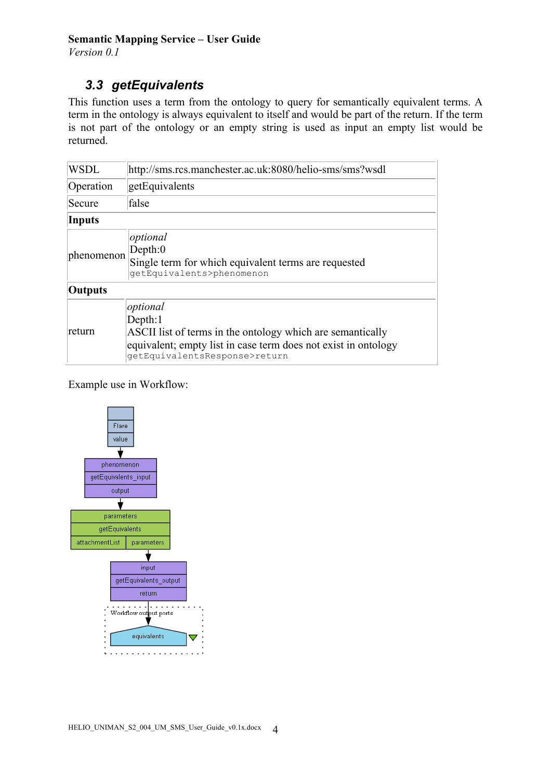*Version 0.1*

## *3.3 getEquivalents*

This function uses a term from the ontology to query for semantically equivalent terms. A term in the ontology is always equivalent to itself and would be part of the return. If the term is not part of the ontology or an empty string is used as input an empty list would be returned.

| <b>WSDL</b>    | http://sms.rcs.manchester.ac.uk:8080/helio-sms/sms?wsdl                                                                                                                              |  |
|----------------|--------------------------------------------------------------------------------------------------------------------------------------------------------------------------------------|--|
| Operation      | getEquivalents                                                                                                                                                                       |  |
| Secure         | false                                                                                                                                                                                |  |
| Inputs         |                                                                                                                                                                                      |  |
| phenomenon     | optional<br>Depth:0<br>Single term for which equivalent terms are requested<br>getEquivalents>phenomenon                                                                             |  |
| <b>Outputs</b> |                                                                                                                                                                                      |  |
| return         | optional<br>Depth:1<br>ASCII list of terms in the ontology which are semantically<br>equivalent; empty list in case term does not exist in ontology<br>getEquivalentsResponse>return |  |

Example use in Workflow: